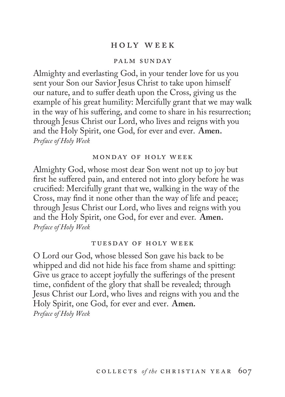## h o ly w e e k

### palm sunday

Almighty and everlasting God, in your tender love for us you sent your Son our Savior Jesus Christ to take upon himself our nature, and to suffer death upon the Cross, giving us the example of his great humility: Mercifully grant that we may walk in the way of his suffering, and come to share in his resurrection; through Jesus Christ our Lord, who lives and reigns with you and the Holy Spirit, one God, for ever and ever. **Amen.** *Preface of Holy Week*

### monday of holy week

Almighty God, whose most dear Son went not up to joy but first he suffered pain, and entered not into glory before he was crucified: Mercifully grant that we, walking in the way of the Cross, may find it none other than the way of life and peace; through Jesus Christ our Lord, who lives and reigns with you and the Holy Spirit, one God, for ever and ever. **Amen.** *Preface of Holy Week*

#### tuesday of holy week

O Lord our God, whose blessed Son gave his back to be whipped and did not hide his face from shame and spitting: Give us grace to accept joyfully the sufferings of the present time, confident of the glory that shall be revealed; through Jesus Christ our Lord, who lives and reigns with you and the Holy Spirit, one God, for ever and ever. **Amen.** *Preface of Holy Week*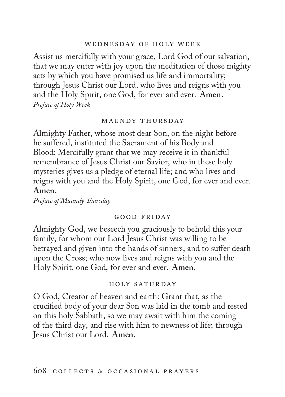### wednesday of holy week

Assist us mercifully with your grace, Lord God of our salvation, that we may enter with joy upon the meditation of those mighty acts by which you have promised us life and immortality; through Jesus Christ our Lord, who lives and reigns with you and the Holy Spirit, one God, for ever and ever. **Amen.** *Preface of Holy Week*

### maundy thursday

Almighty Father, whose most dear Son, on the night before he suffered, instituted the Sacrament of his Body and Blood: Mercifully grant that we may receive it in thankful remembrance of Jesus Christ our Savior, who in these holy mysteries gives us a pledge of eternal life; and who lives and reigns with you and the Holy Spirit, one God, for ever and ever. **Amen.**

*Preface of Maundy Thursday*

### good friday

Almighty God, we beseech you graciously to behold this your family, for whom our Lord Jesus Christ was willing to be betrayed and given into the hands of sinners, and to suffer death upon the Cross; who now lives and reigns with you and the Holy Spirit, one God, for ever and ever. **Amen.**

### holy saturday

O God, Creator of heaven and earth: Grant that, as the crucified body of your dear Son was laid in the tomb and rested on this holy Sabbath, so we may await with him the coming of the third day, and rise with him to newness of life; through Jesus Christ our Lord. **Amen.**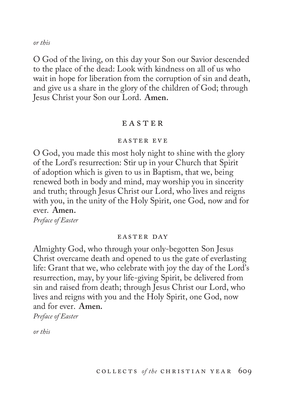*or this*

O God of the living, on this day your Son our Savior descended to the place of the dead: Look with kindness on all of us who wait in hope for liberation from the corruption of sin and death, and give us a share in the glory of the children of God; through Jesus Christ your Son our Lord. **Amen.**

## **EASTER**

### easter eve

O God, you made this most holy night to shine with the glory of the Lord's resurrection: Stir up in your Church that Spirit of adoption which is given to us in Baptism, that we, being renewed both in body and mind, may worship you in sincerity and truth; through Jesus Christ our Lord, who lives and reigns with you, in the unity of the Holy Spirit, one God, now and for ever. **Amen.**

*Preface of Easter*

### easter day

Almighty God, who through your only-begotten Son Jesus Christ overcame death and opened to us the gate of everlasting life: Grant that we, who celebrate with joy the day of the Lord's resurrection, may, by your life-giving Spirit, be delivered from sin and raised from death; through Jesus Christ our Lord, who lives and reigns with you and the Holy Spirit, one God, now and for ever. **Amen.**

*Preface of Easter*

*or this*